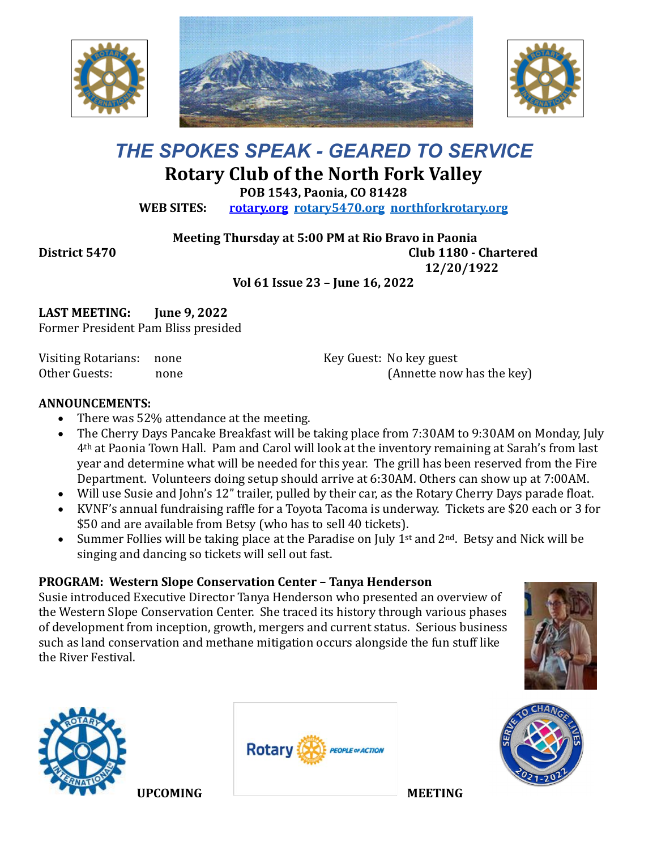





# *THE SPOKES SPEAK - GEARED TO SERVICE* **Rotary Club of the North Fork Valley**

**POB 1543, Paonia, CO 81428**

**WEB SITES: [rotary.org](http://www.rotary.org/) [rotary5470.org](http://rotary5470.org/) [northforkrotary.org](http://www.northforkrotary.org/)**

**Meeting Thursday at 5:00 PM at Rio Bravo in Paonia**

**District 5470 Club 1180 - Chartered** 

**12/20/1922**

**Vol 61 Issue 23 – June 16, 2022**

**LAST MEETING: June 9, 2022** Former President Pam Bliss presided

Visiting Rotarians: none Other Guests: none Key Guest: No key guest (Annette now has the key)

### **ANNOUNCEMENTS:**

- There was 52% attendance at the meeting.
- The Cherry Days Pancake Breakfast will be taking place from 7:30AM to 9:30AM on Monday, July 4th at Paonia Town Hall. Pam and Carol will look at the inventory remaining at Sarah's from last year and determine what will be needed for this year. The grill has been reserved from the Fire Department. Volunteers doing setup should arrive at 6:30AM. Others can show up at 7:00AM.
- Will use Susie and John's 12" trailer, pulled by their car, as the Rotary Cherry Days parade float.
- KVNF's annual fundraising raffle for a Toyota Tacoma is underway. Tickets are \$20 each or 3 for \$50 and are available from Betsy (who has to sell 40 tickets).
- Summer Follies will be taking place at the Paradise on July 1<sup>st</sup> and  $2^{nd}$ . Betsy and Nick will be singing and dancing so tickets will sell out fast.

# **PROGRAM: Western Slope Conservation Center – Tanya Henderson**

Susie introduced Executive Director Tanya Henderson who presented an overview of the Western Slope Conservation Center. She traced its history through various phases of development from inception, growth, mergers and current status. Serious business such as land conservation and methane mitigation occurs alongside the fun stuff like the River Festival.





**UPCOMING MEETING** 



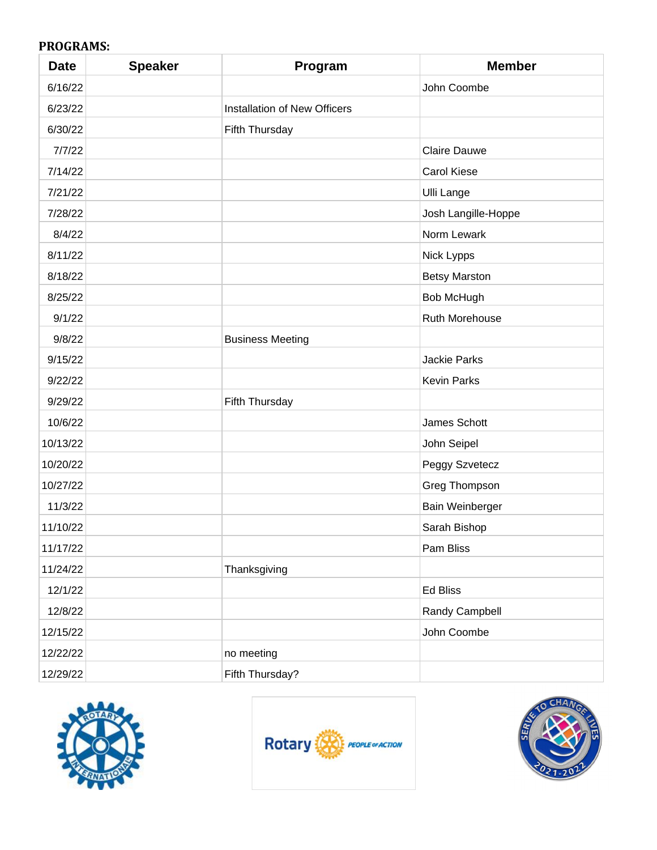## **PROGRAMS:**

| <b>Date</b> | <b>Speaker</b> | Program                      | <b>Member</b>        |
|-------------|----------------|------------------------------|----------------------|
| 6/16/22     |                |                              | John Coombe          |
| 6/23/22     |                | Installation of New Officers |                      |
| 6/30/22     |                | Fifth Thursday               |                      |
| 7/7/22      |                |                              | <b>Claire Dauwe</b>  |
| 7/14/22     |                |                              | <b>Carol Kiese</b>   |
| 7/21/22     |                |                              | <b>Ulli Lange</b>    |
| 7/28/22     |                |                              | Josh Langille-Hoppe  |
| 8/4/22      |                |                              | Norm Lewark          |
| 8/11/22     |                |                              | Nick Lypps           |
| 8/18/22     |                |                              | <b>Betsy Marston</b> |
| 8/25/22     |                |                              | <b>Bob McHugh</b>    |
| 9/1/22      |                |                              | Ruth Morehouse       |
| 9/8/22      |                | <b>Business Meeting</b>      |                      |
| 9/15/22     |                |                              | Jackie Parks         |
| 9/22/22     |                |                              | <b>Kevin Parks</b>   |
| 9/29/22     |                | Fifth Thursday               |                      |
| 10/6/22     |                |                              | James Schott         |
| 10/13/22    |                |                              | John Seipel          |
| 10/20/22    |                |                              | Peggy Szvetecz       |
| 10/27/22    |                |                              | Greg Thompson        |
| 11/3/22     |                |                              | Bain Weinberger      |
| 11/10/22    |                |                              | Sarah Bishop         |
| 11/17/22    |                |                              | Pam Bliss            |
| 11/24/22    |                | Thanksgiving                 |                      |
| 12/1/22     |                |                              | Ed Bliss             |
| 12/8/22     |                |                              | Randy Campbell       |
| 12/15/22    |                |                              | John Coombe          |
| 12/22/22    |                | no meeting                   |                      |
| 12/29/22    |                | Fifth Thursday?              |                      |